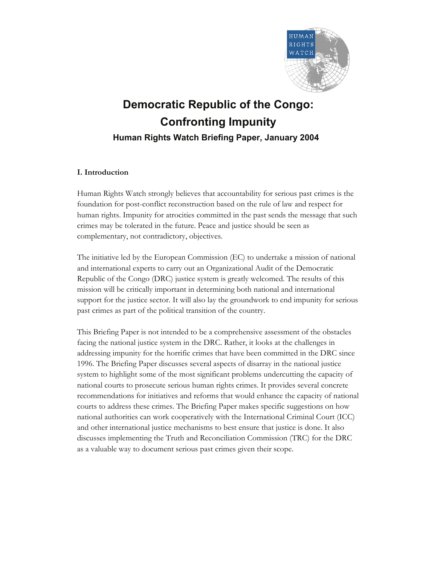

# **Democratic Republic of the Congo: Confronting Impunity Human Rights Watch Briefing Paper, January 2004**

# **I. Introduction**

Human Rights Watch strongly believes that accountability for serious past crimes is the foundation for post-conflict reconstruction based on the rule of law and respect for human rights. Impunity for atrocities committed in the past sends the message that such crimes may be tolerated in the future. Peace and justice should be seen as complementary, not contradictory, objectives.

The initiative led by the European Commission (EC) to undertake a mission of national and international experts to carry out an Organizational Audit of the Democratic Republic of the Congo (DRC) justice system is greatly welcomed. The results of this mission will be critically important in determining both national and international support for the justice sector. It will also lay the groundwork to end impunity for serious past crimes as part of the political transition of the country.

This Briefing Paper is not intended to be a comprehensive assessment of the obstacles facing the national justice system in the DRC. Rather, it looks at the challenges in addressing impunity for the horrific crimes that have been committed in the DRC since 1996. The Briefing Paper discusses several aspects of disarray in the national justice system to highlight some of the most significant problems undercutting the capacity of national courts to prosecute serious human rights crimes. It provides several concrete recommendations for initiatives and reforms that would enhance the capacity of national courts to address these crimes. The Briefing Paper makes specific suggestions on how national authorities can work cooperatively with the International Criminal Court (ICC) and other international justice mechanisms to best ensure that justice is done. It also discusses implementing the Truth and Reconciliation Commission (TRC) for the DRC as a valuable way to document serious past crimes given their scope.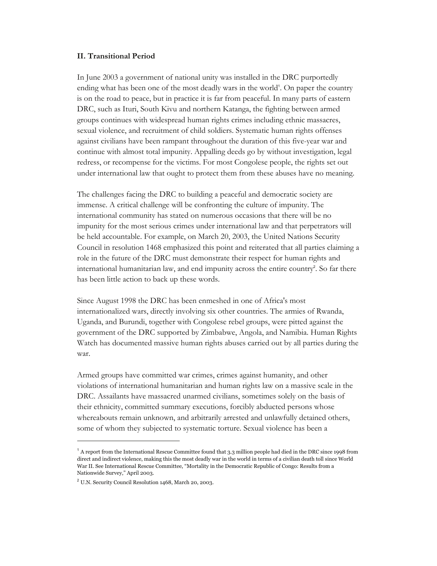## **II. Transitional Period**

In June 2003 a government of national unity was installed in the DRC purportedly ending what has been one of the most deadly wars in the world<sup>1</sup>. On paper the country is on the road to peace, but in practice it is far from peaceful. In many parts of eastern DRC, such as Ituri, South Kivu and northern Katanga, the fighting between armed groups continues with widespread human rights crimes including ethnic massacres, sexual violence, and recruitment of child soldiers. Systematic human rights offenses against civilians have been rampant throughout the duration of this five-year war and continue with almost total impunity. Appalling deeds go by without investigation, legal redress, or recompense for the victims. For most Congolese people, the rights set out under international law that ought to protect them from these abuses have no meaning.

The challenges facing the DRC to building a peaceful and democratic society are immense. A critical challenge will be confronting the culture of impunity. The international community has stated on numerous occasions that there will be no impunity for the most serious crimes under international law and that perpetrators will be held accountable. For example, on March 20, 2003, the United Nations Security Council in resolution 1468 emphasized this point and reiterated that all parties claiming a role in the future of the DRC must demonstrate their respect for human rights and international humanitarian law, and end impunity across the entire country<sup>2</sup>. So far there has been little action to back up these words.

Since August 1998 the DRC has been enmeshed in one of Africa's most internationalized wars, directly involving six other countries. The armies of Rwanda, Uganda, and Burundi, together with Congolese rebel groups, were pitted against the government of the DRC supported by Zimbabwe, Angola, and Namibia. Human Rights Watch has documented massive human rights abuses carried out by all parties during the war.

Armed groups have committed war crimes, crimes against humanity, and other violations of international humanitarian and human rights law on a massive scale in the DRC. Assailants have massacred unarmed civilians, sometimes solely on the basis of their ethnicity, committed summary executions, forcibly abducted persons whose whereabouts remain unknown, and arbitrarily arrested and unlawfully detained others, some of whom they subjected to systematic torture. Sexual violence has been a

-

 $^1$  A report from the International Rescue Committee found that 3.3 million people had died in the DRC since 1998 from direct and indirect violence, making this the most deadly war in the world in terms of a civilian death toll since World War II. See International Rescue Committee, "Mortality in the Democratic Republic of Congo: Results from a Nationwide Survey," April 2003.

 $2$  U.N. Security Council Resolution 1468, March 20, 2003.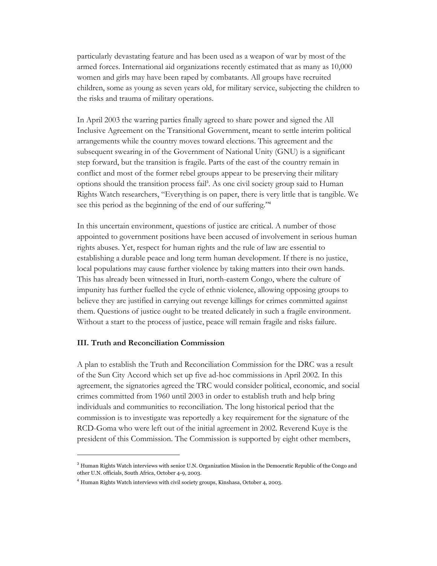particularly devastating feature and has been used as a weapon of war by most of the armed forces. International aid organizations recently estimated that as many as 10,000 women and girls may have been raped by combatants. All groups have recruited children, some as young as seven years old, for military service, subjecting the children to the risks and trauma of military operations.

In April 2003 the warring parties finally agreed to share power and signed the All Inclusive Agreement on the Transitional Government, meant to settle interim political arrangements while the country moves toward elections. This agreement and the subsequent swearing in of the Government of National Unity (GNU) is a significant step forward, but the transition is fragile. Parts of the east of the country remain in conflict and most of the former rebel groups appear to be preserving their military options should the transition process fail<sup>3</sup> . As one civil society group said to Human Rights Watch researchers, "Everything is on paper, there is very little that is tangible. We see this period as the beginning of the end of our suffering."<sup>4</sup>

In this uncertain environment, questions of justice are critical. A number of those appointed to government positions have been accused of involvement in serious human rights abuses. Yet, respect for human rights and the rule of law are essential to establishing a durable peace and long term human development. If there is no justice, local populations may cause further violence by taking matters into their own hands. This has already been witnessed in Ituri, north-eastern Congo, where the culture of impunity has further fuelled the cycle of ethnic violence, allowing opposing groups to believe they are justified in carrying out revenge killings for crimes committed against them. Questions of justice ought to be treated delicately in such a fragile environment. Without a start to the process of justice, peace will remain fragile and risks failure.

## **III. Truth and Reconciliation Commission**

 $\overline{a}$ 

A plan to establish the Truth and Reconciliation Commission for the DRC was a result of the Sun City Accord which set up five ad-hoc commissions in April 2002. In this agreement, the signatories agreed the TRC would consider political, economic, and social crimes committed from 1960 until 2003 in order to establish truth and help bring individuals and communities to reconciliation. The long historical period that the commission is to investigate was reportedly a key requirement for the signature of the RCD-Goma who were left out of the initial agreement in 2002. Reverend Kuye is the president of this Commission. The Commission is supported by eight other members,

 $3$  Human Rights Watch interviews with senior U.N. Organization Mission in the Democratic Republic of the Congo and other U.N. officials, South Africa, October 4-9, 2003.

<sup>&</sup>lt;sup>4</sup> Human Rights Watch interviews with civil society groups, Kinshasa, October 4, 2003.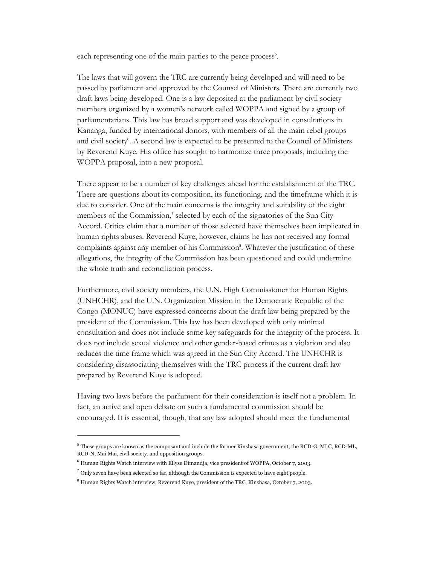each representing one of the main parties to the peace process<sup>5</sup>.

The laws that will govern the TRC are currently being developed and will need to be passed by parliament and approved by the Counsel of Ministers. There are currently two draft laws being developed. One is a law deposited at the parliament by civil society members organized by a women's network called WOPPA and signed by a group of parliamentarians. This law has broad support and was developed in consultations in Kananga, funded by international donors, with members of all the main rebel groups and civil society<sup>6</sup>. A second law is expected to be presented to the Council of Ministers by Reverend Kuye. His office has sought to harmonize three proposals, including the WOPPA proposal, into a new proposal.

There appear to be a number of key challenges ahead for the establishment of the TRC. There are questions about its composition, its functioning, and the timeframe which it is due to consider. One of the main concerns is the integrity and suitability of the eight members of the Commission,<sup>7</sup> selected by each of the signatories of the Sun City Accord. Critics claim that a number of those selected have themselves been implicated in human rights abuses. Reverend Kuye, however, claims he has not received any formal complaints against any member of his Commission<sup>8</sup>. Whatever the justification of these allegations, the integrity of the Commission has been questioned and could undermine the whole truth and reconciliation process.

Furthermore, civil society members, the U.N. High Commissioner for Human Rights (UNHCHR), and the U.N. Organization Mission in the Democratic Republic of the Congo (MONUC) have expressed concerns about the draft law being prepared by the president of the Commission. This law has been developed with only minimal consultation and does not include some key safeguards for the integrity of the process. It does not include sexual violence and other gender-based crimes as a violation and also reduces the time frame which was agreed in the Sun City Accord. The UNHCHR is considering disassociating themselves with the TRC process if the current draft law prepared by Reverend Kuye is adopted.

Having two laws before the parliament for their consideration is itself not a problem. In fact, an active and open debate on such a fundamental commission should be encouraged. It is essential, though, that any law adopted should meet the fundamental

-

<sup>5</sup> These groups are known as the composant and include the former Kinshasa government, the RCD-G, MLC, RCD-ML, RCD-N, Mai Mai, civil society, and opposition groups.

 $6$  Human Rights Watch interview with Ellyse Dimandja, vice president of WOPPA, October 7, 2003.

 $<sup>7</sup>$  Only seven have been selected so far, although the Commission is expected to have eight people.</sup>

<sup>&</sup>lt;sup>8</sup> Human Rights Watch interview, Reverend Kuye, president of the TRC, Kinshasa, October 7, 2003.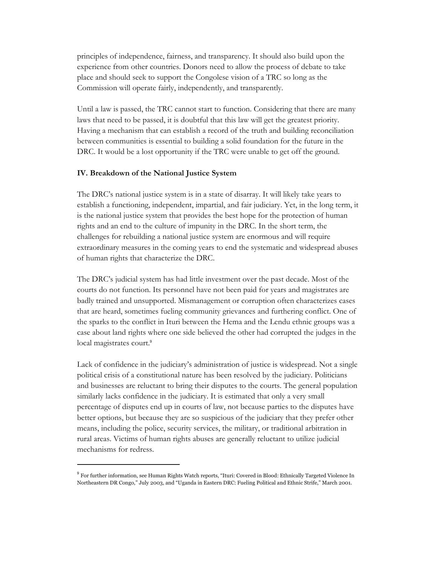principles of independence, fairness, and transparency. It should also build upon the experience from other countries. Donors need to allow the process of debate to take place and should seek to support the Congolese vision of a TRC so long as the Commission will operate fairly, independently, and transparently.

Until a law is passed, the TRC cannot start to function. Considering that there are many laws that need to be passed, it is doubtful that this law will get the greatest priority. Having a mechanism that can establish a record of the truth and building reconciliation between communities is essential to building a solid foundation for the future in the DRC. It would be a lost opportunity if the TRC were unable to get off the ground.

## **IV. Breakdown of the National Justice System**

-

The DRC's national justice system is in a state of disarray. It will likely take years to establish a functioning, independent, impartial, and fair judiciary. Yet, in the long term, it is the national justice system that provides the best hope for the protection of human rights and an end to the culture of impunity in the DRC. In the short term, the challenges for rebuilding a national justice system are enormous and will require extraordinary measures in the coming years to end the systematic and widespread abuses of human rights that characterize the DRC.

The DRC's judicial system has had little investment over the past decade. Most of the courts do not function. Its personnel have not been paid for years and magistrates are badly trained and unsupported. Mismanagement or corruption often characterizes cases that are heard, sometimes fueling community grievances and furthering conflict. One of the sparks to the conflict in Ituri between the Hema and the Lendu ethnic groups was a case about land rights where one side believed the other had corrupted the judges in the local magistrates court.<sup>9</sup>

Lack of confidence in the judiciary's administration of justice is widespread. Not a single political crisis of a constitutional nature has been resolved by the judiciary. Politicians and businesses are reluctant to bring their disputes to the courts. The general population similarly lacks confidence in the judiciary. It is estimated that only a very small percentage of disputes end up in courts of law, not because parties to the disputes have better options, but because they are so suspicious of the judiciary that they prefer other means, including the police, security services, the military, or traditional arbitration in rural areas. Victims of human rights abuses are generally reluctant to utilize judicial mechanisms for redress.

<sup>&</sup>lt;sup>9</sup> For further information, see Human Rights Watch reports, "Ituri: Covered in Blood: Ethnically Targeted Violence In Northeastern DR Congo," July 2003, and "Uganda in Eastern DRC: Fueling Political and Ethnic Strife," March 2001.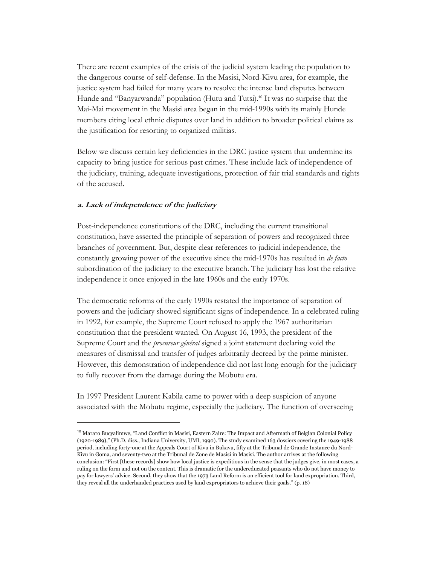There are recent examples of the crisis of the judicial system leading the population to the dangerous course of self-defense. In the Masisi, Nord-Kivu area, for example, the justice system had failed for many years to resolve the intense land disputes between Hunde and "Banyarwanda" population (Hutu and Tutsi).<sup>10</sup> It was no surprise that the Mai-Mai movement in the Masisi area began in the mid-1990s with its mainly Hunde members citing local ethnic disputes over land in addition to broader political claims as the justification for resorting to organized militias.

Below we discuss certain key deficiencies in the DRC justice system that undermine its capacity to bring justice for serious past crimes. These include lack of independence of the judiciary, training, adequate investigations, protection of fair trial standards and rights of the accused.

## **a. Lack of independence of the judiciary**

-

Post-independence constitutions of the DRC, including the current transitional constitution, have asserted the principle of separation of powers and recognized three branches of government. But, despite clear references to judicial independence, the constantly growing power of the executive since the mid-1970s has resulted in *de facto* subordination of the judiciary to the executive branch. The judiciary has lost the relative independence it once enjoyed in the late 1960s and the early 1970s.

The democratic reforms of the early 1990s restated the importance of separation of powers and the judiciary showed significant signs of independence. In a celebrated ruling in 1992, for example, the Supreme Court refused to apply the 1967 authoritarian constitution that the president wanted. On August 16, 1993, the president of the Supreme Court and the *procureur général* signed a joint statement declaring void the measures of dismissal and transfer of judges arbitrarily decreed by the prime minister. However, this demonstration of independence did not last long enough for the judiciary to fully recover from the damage during the Mobutu era.

In 1997 President Laurent Kabila came to power with a deep suspicion of anyone associated with the Mobutu regime, especially the judiciary. The function of overseeing

<sup>&</sup>lt;sup>10</sup> Mararo Bucyalimwe, "Land Conflict in Masisi, Eastern Zaire: The Impact and Aftermath of Belgian Colonial Policy (1920-1989)," (Ph.D. diss., Indiana University, UMI, 1990). The study examined 163 dossiers covering the 1949-1988 period, including forty-one at the Appeals Court of Kivu in Bukavu, fifty at the Tribunal de Grande Instance du Nord-Kivu in Goma, and seventy-two at the Tribunal de Zone de Masisi in Masisi. The author arrives at the following conclusion: "First [these records] show how local justice is expeditious in the sense that the judges give, in most cases, a ruling on the form and not on the content. This is dramatic for the undereducated peasants who do not have money to pay for lawyers' advice. Second, they show that the 1973 Land Reform is an efficient tool for land expropriation. Third, they reveal all the underhanded practices used by land expropriators to achieve their goals." (p. 18)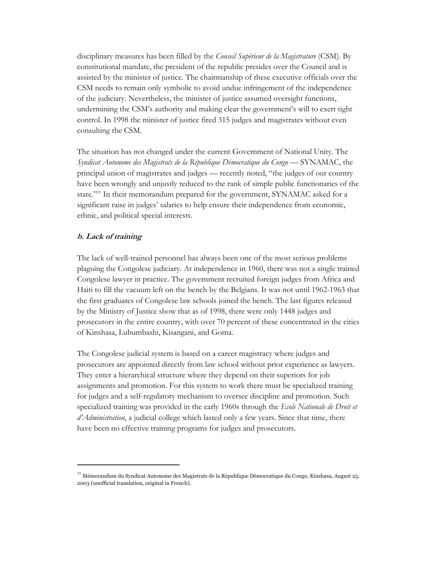disciplinary measures has been filled by the *Conseil Supérieur de la Magistrature* (CSM). By constitutional mandate, the president of the republic presides over the Council and is assisted by the minister of justice. The chairmanship of these executive officials over the CSM needs to remain only symbolic to avoid undue infringement of the independence of the judiciary. Nevertheless, the minister of justice assumed oversight functions, undermining the CSM's authority and making clear the government's will to exert tight control. In 1998 the minister of justice fired 315 judges and magistrates without even consulting the CSM.

The situation has not changed under the current Government of National Unity. The *Syndicat Autonome des Magistrats de la République Démocratique du Congo* — SYNAMAC, the principal union of magistrates and judges — recently noted, "the judges of our country have been wrongly and unjustly reduced to the rank of simple public functionaries of the state."11 In their memorandum prepared for the government, SYNAMAC asked for a significant raise in judges' salaries to help ensure their independence from economic, ethnic, and political special interests.

## **b. Lack of training**

 $\overline{a}$ 

The lack of well-trained personnel has always been one of the most serious problems plaguing the Congolese judiciary. At independence in 1960, there was not a single trained Congolese lawyer in practice. The government recruited foreign judges from Africa and Haiti to fill the vacuum left on the bench by the Belgians. It was not until 1962-1963 that the first graduates of Congolese law schools joined the bench. The last figures released by the Ministry of Justice show that as of 1998, there were only 1448 judges and prosecutors in the entire country, with over 70 percent of these concentrated in the cities of Kinshasa, Lubumbashi, Kisangani, and Goma.

The Congolese judicial system is based on a career magistracy where judges and prosecutors are appointed directly from law school without prior experience as lawyers. They enter a hierarchical structure where they depend on their superiors for job assignments and promotion. For this system to work there must be specialized training for judges and a self-regulatory mechanism to oversee discipline and promotion. Such specialized training was provided in the early 1960s through the *Ecole Nationale de Droit et d'Administration*, a judicial college which lasted only a few years. Since that time, there have been no effective training programs for judges and prosecutors.

<sup>&</sup>lt;sup>11</sup> Mémorandum du Syndicat Autonome des Magistrats de la République Démocratique du Congo, Kinshasa, August 25, 2003 (unofficial translation, original in French).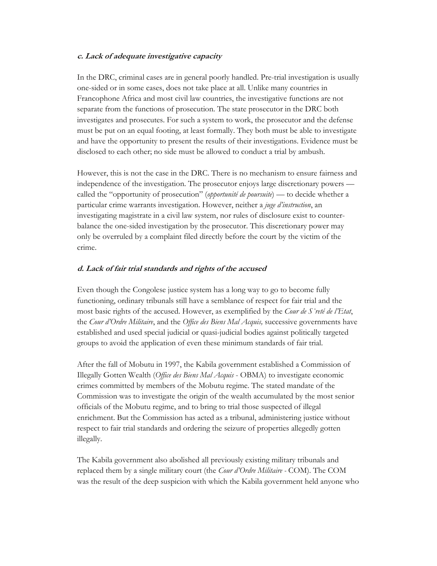## **c. Lack of adequate investigative capacity**

In the DRC, criminal cases are in general poorly handled. Pre-trial investigation is usually one-sided or in some cases, does not take place at all. Unlike many countries in Francophone Africa and most civil law countries, the investigative functions are not separate from the functions of prosecution. The state prosecutor in the DRC both investigates and prosecutes. For such a system to work, the prosecutor and the defense must be put on an equal footing, at least formally. They both must be able to investigate and have the opportunity to present the results of their investigations. Evidence must be disclosed to each other; no side must be allowed to conduct a trial by ambush.

However, this is not the case in the DRC. There is no mechanism to ensure fairness and independence of the investigation. The prosecutor enjoys large discretionary powers called the "opportunity of prosecution" (*opportunité de poursuite*) — to decide whether a particular crime warrants investigation. However, neither a *juge d'instruction*, an investigating magistrate in a civil law system, nor rules of disclosure exist to counterbalance the one-sided investigation by the prosecutor. This discretionary power may only be overruled by a complaint filed directly before the court by the victim of the crime.

## **d. Lack of fair trial standards and rights of the accused**

Even though the Congolese justice system has a long way to go to become fully functioning, ordinary tribunals still have a semblance of respect for fair trial and the most basic rights of the accused. However, as exemplified by the *Cour de S˚reté de l'Etat*, the *Cour d'Ordre Militaire*, and the *Office des Biens Mal Acquis,* successive governments have established and used special judicial or quasi-judicial bodies against politically targeted groups to avoid the application of even these minimum standards of fair trial.

After the fall of Mobutu in 1997, the Kabila government established a Commission of Illegally Gotten Wealth (*Office des Biens Mal Acquis* - OBMA) to investigate economic crimes committed by members of the Mobutu regime. The stated mandate of the Commission was to investigate the origin of the wealth accumulated by the most senior officials of the Mobutu regime, and to bring to trial those suspected of illegal enrichment. But the Commission has acted as a tribunal, administering justice without respect to fair trial standards and ordering the seizure of properties allegedly gotten illegally.

The Kabila government also abolished all previously existing military tribunals and replaced them by a single military court (the *Cour d'Ordre Militaire -* COM). The COM was the result of the deep suspicion with which the Kabila government held anyone who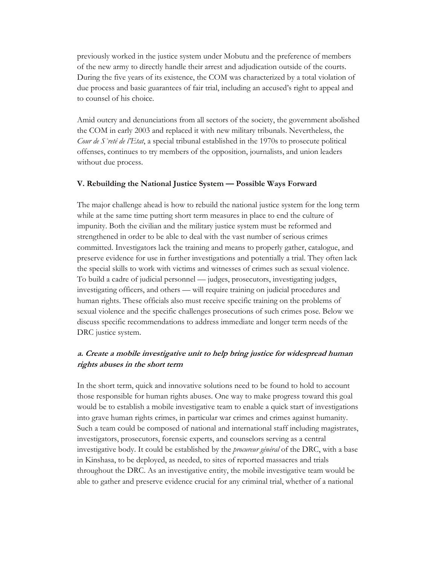previously worked in the justice system under Mobutu and the preference of members of the new army to directly handle their arrest and adjudication outside of the courts. During the five years of its existence, the COM was characterized by a total violation of due process and basic guarantees of fair trial, including an accused's right to appeal and to counsel of his choice.

Amid outcry and denunciations from all sectors of the society, the government abolished the COM in early 2003 and replaced it with new military tribunals. Nevertheless, the *Cour de S˚reté de l'Etat*, a special tribunal established in the 1970s to prosecute political offenses, continues to try members of the opposition, journalists, and union leaders without due process.

## **V. Rebuilding the National Justice System — Possible Ways Forward**

The major challenge ahead is how to rebuild the national justice system for the long term while at the same time putting short term measures in place to end the culture of impunity. Both the civilian and the military justice system must be reformed and strengthened in order to be able to deal with the vast number of serious crimes committed. Investigators lack the training and means to properly gather, catalogue, and preserve evidence for use in further investigations and potentially a trial. They often lack the special skills to work with victims and witnesses of crimes such as sexual violence. To build a cadre of judicial personnel — judges, prosecutors, investigating judges, investigating officers, and others — will require training on judicial procedures and human rights. These officials also must receive specific training on the problems of sexual violence and the specific challenges prosecutions of such crimes pose. Below we discuss specific recommendations to address immediate and longer term needs of the DRC justice system.

# **a. Create a mobile investigative unit to help bring justice for widespread human rights abuses in the short term**

In the short term, quick and innovative solutions need to be found to hold to account those responsible for human rights abuses. One way to make progress toward this goal would be to establish a mobile investigative team to enable a quick start of investigations into grave human rights crimes, in particular war crimes and crimes against humanity. Such a team could be composed of national and international staff including magistrates, investigators, prosecutors, forensic experts, and counselors serving as a central investigative body. It could be established by the *procureur général* of the DRC, with a base in Kinshasa, to be deployed, as needed, to sites of reported massacres and trials throughout the DRC. As an investigative entity, the mobile investigative team would be able to gather and preserve evidence crucial for any criminal trial, whether of a national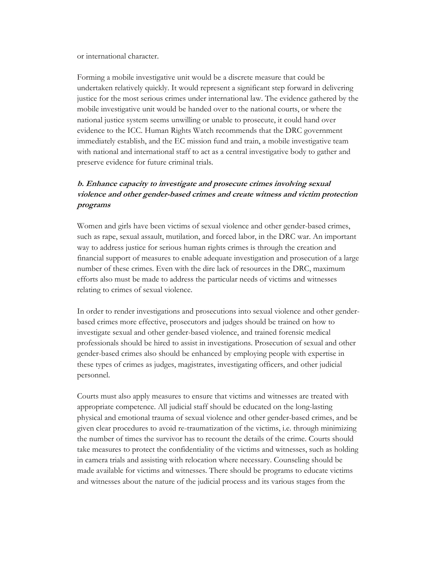or international character.

Forming a mobile investigative unit would be a discrete measure that could be undertaken relatively quickly. It would represent a significant step forward in delivering justice for the most serious crimes under international law. The evidence gathered by the mobile investigative unit would be handed over to the national courts, or where the national justice system seems unwilling or unable to prosecute, it could hand over evidence to the ICC. Human Rights Watch recommends that the DRC government immediately establish, and the EC mission fund and train, a mobile investigative team with national and international staff to act as a central investigative body to gather and preserve evidence for future criminal trials.

# **b. Enhance capacity to investigate and prosecute crimes involving sexual violence and other gender-based crimes and create witness and victim protection programs**

Women and girls have been victims of sexual violence and other gender-based crimes, such as rape, sexual assault, mutilation, and forced labor, in the DRC war. An important way to address justice for serious human rights crimes is through the creation and financial support of measures to enable adequate investigation and prosecution of a large number of these crimes. Even with the dire lack of resources in the DRC, maximum efforts also must be made to address the particular needs of victims and witnesses relating to crimes of sexual violence.

In order to render investigations and prosecutions into sexual violence and other genderbased crimes more effective, prosecutors and judges should be trained on how to investigate sexual and other gender-based violence, and trained forensic medical professionals should be hired to assist in investigations. Prosecution of sexual and other gender-based crimes also should be enhanced by employing people with expertise in these types of crimes as judges, magistrates, investigating officers, and other judicial personnel.

Courts must also apply measures to ensure that victims and witnesses are treated with appropriate competence. All judicial staff should be educated on the long-lasting physical and emotional trauma of sexual violence and other gender-based crimes, and be given clear procedures to avoid re-traumatization of the victims, i.e. through minimizing the number of times the survivor has to recount the details of the crime. Courts should take measures to protect the confidentiality of the victims and witnesses, such as holding in camera trials and assisting with relocation where necessary. Counseling should be made available for victims and witnesses. There should be programs to educate victims and witnesses about the nature of the judicial process and its various stages from the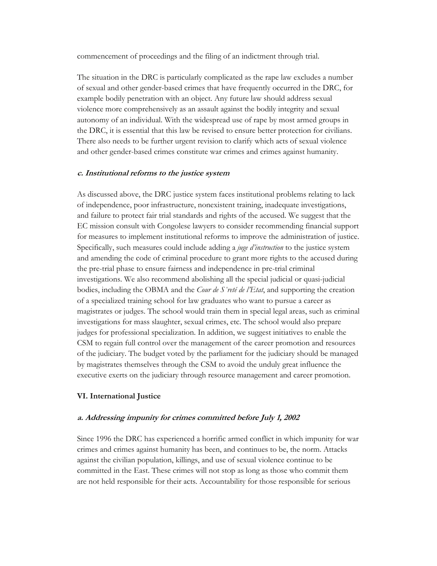commencement of proceedings and the filing of an indictment through trial.

The situation in the DRC is particularly complicated as the rape law excludes a number of sexual and other gender-based crimes that have frequently occurred in the DRC, for example bodily penetration with an object. Any future law should address sexual violence more comprehensively as an assault against the bodily integrity and sexual autonomy of an individual. With the widespread use of rape by most armed groups in the DRC, it is essential that this law be revised to ensure better protection for civilians. There also needs to be further urgent revision to clarify which acts of sexual violence and other gender-based crimes constitute war crimes and crimes against humanity.

#### **c. Institutional reforms to the justice system**

As discussed above, the DRC justice system faces institutional problems relating to lack of independence, poor infrastructure, nonexistent training, inadequate investigations, and failure to protect fair trial standards and rights of the accused. We suggest that the EC mission consult with Congolese lawyers to consider recommending financial support for measures to implement institutional reforms to improve the administration of justice. Specifically, such measures could include adding a *juge d'instruction* to the justice system and amending the code of criminal procedure to grant more rights to the accused during the pre-trial phase to ensure fairness and independence in pre-trial criminal investigations. We also recommend abolishing all the special judicial or quasi-judicial bodies, including the OBMA and the *Cour de S˚reté de l'Etat*, and supporting the creation of a specialized training school for law graduates who want to pursue a career as magistrates or judges. The school would train them in special legal areas, such as criminal investigations for mass slaughter, sexual crimes, etc. The school would also prepare judges for professional specialization. In addition, we suggest initiatives to enable the CSM to regain full control over the management of the career promotion and resources of the judiciary. The budget voted by the parliament for the judiciary should be managed by magistrates themselves through the CSM to avoid the unduly great influence the executive exerts on the judiciary through resource management and career promotion.

#### **VI. International Justice**

## **a. Addressing impunity for crimes committed before July 1, 2002**

Since 1996 the DRC has experienced a horrific armed conflict in which impunity for war crimes and crimes against humanity has been, and continues to be, the norm. Attacks against the civilian population, killings, and use of sexual violence continue to be committed in the East. These crimes will not stop as long as those who commit them are not held responsible for their acts. Accountability for those responsible for serious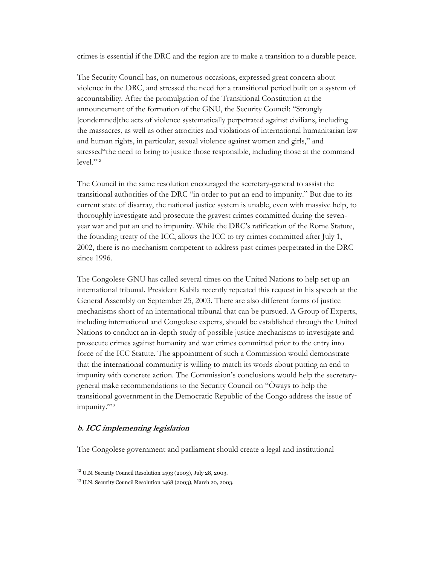crimes is essential if the DRC and the region are to make a transition to a durable peace.

The Security Council has, on numerous occasions, expressed great concern about violence in the DRC, and stressed the need for a transitional period built on a system of accountability. After the promulgation of the Transitional Constitution at the announcement of the formation of the GNU, the Security Council: "Strongly [condemned]the acts of violence systematically perpetrated against civilians, including the massacres, as well as other atrocities and violations of international humanitarian law and human rights, in particular, sexual violence against women and girls," and stressed"the need to bring to justice those responsible, including those at the command level."12

The Council in the same resolution encouraged the secretary-general to assist the transitional authorities of the DRC "in order to put an end to impunity." But due to its current state of disarray, the national justice system is unable, even with massive help, to thoroughly investigate and prosecute the gravest crimes committed during the sevenyear war and put an end to impunity. While the DRC's ratification of the Rome Statute, the founding treaty of the ICC, allows the ICC to try crimes committed after July 1, 2002, there is no mechanism competent to address past crimes perpetrated in the DRC since 1996.

The Congolese GNU has called several times on the United Nations to help set up an international tribunal. President Kabila recently repeated this request in his speech at the General Assembly on September 25, 2003. There are also different forms of justice mechanisms short of an international tribunal that can be pursued. A Group of Experts, including international and Congolese experts, should be established through the United Nations to conduct an in-depth study of possible justice mechanisms to investigate and prosecute crimes against humanity and war crimes committed prior to the entry into force of the ICC Statute. The appointment of such a Commission would demonstrate that the international community is willing to match its words about putting an end to impunity with concrete action. The Commission's conclusions would help the secretarygeneral make recommendations to the Security Council on "Öways to help the transitional government in the Democratic Republic of the Congo address the issue of impunity."<sup>13</sup>

# **b. ICC implementing legislation**

-

The Congolese government and parliament should create a legal and institutional

<sup>12</sup> U.N. Security Council Resolution 1493 (2003), July 28, 2003.

<sup>13</sup> U.N. Security Council Resolution 1468 (2003), March 20, 2003.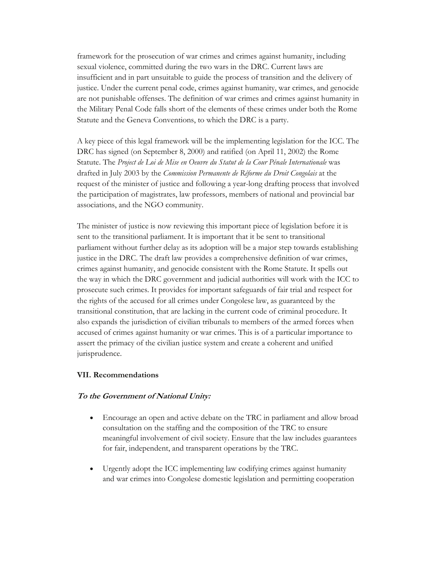framework for the prosecution of war crimes and crimes against humanity, including sexual violence, committed during the two wars in the DRC. Current laws are insufficient and in part unsuitable to guide the process of transition and the delivery of justice. Under the current penal code, crimes against humanity, war crimes, and genocide are not punishable offenses. The definition of war crimes and crimes against humanity in the Military Penal Code falls short of the elements of these crimes under both the Rome Statute and the Geneva Conventions, to which the DRC is a party.

A key piece of this legal framework will be the implementing legislation for the ICC. The DRC has signed (on September 8, 2000) and ratified (on April 11, 2002) the Rome Statute. The *Project de Loi de Mise en Oeuvre du Statut de la Cour Pénale Internationale* was drafted in July 2003 by the *Commission Permanente de Réforme du Droit Congolais* at the request of the minister of justice and following a year-long drafting process that involved the participation of magistrates, law professors, members of national and provincial bar associations, and the NGO community.

The minister of justice is now reviewing this important piece of legislation before it is sent to the transitional parliament. It is important that it be sent to transitional parliament without further delay as its adoption will be a major step towards establishing justice in the DRC. The draft law provides a comprehensive definition of war crimes, crimes against humanity, and genocide consistent with the Rome Statute. It spells out the way in which the DRC government and judicial authorities will work with the ICC to prosecute such crimes. It provides for important safeguards of fair trial and respect for the rights of the accused for all crimes under Congolese law, as guaranteed by the transitional constitution, that are lacking in the current code of criminal procedure. It also expands the jurisdiction of civilian tribunals to members of the armed forces when accused of crimes against humanity or war crimes. This is of a particular importance to assert the primacy of the civilian justice system and create a coherent and unified jurisprudence.

## **VII. Recommendations**

## **To the Government of National Unity:**

- Encourage an open and active debate on the TRC in parliament and allow broad consultation on the staffing and the composition of the TRC to ensure meaningful involvement of civil society. Ensure that the law includes guarantees for fair, independent, and transparent operations by the TRC.
- Urgently adopt the ICC implementing law codifying crimes against humanity and war crimes into Congolese domestic legislation and permitting cooperation